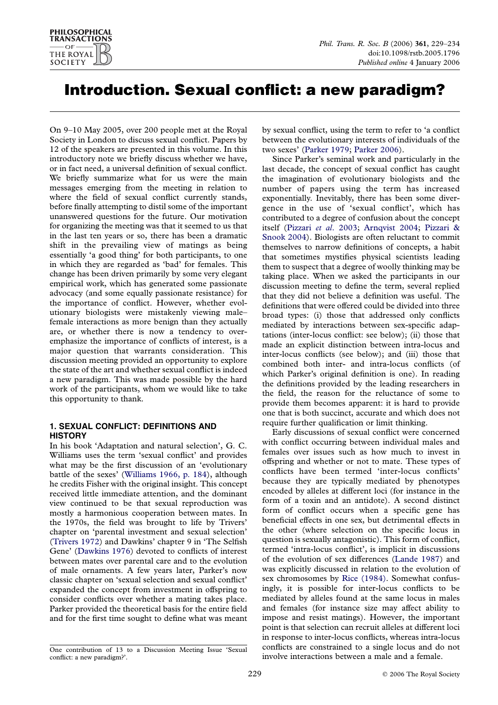

# Introduction. Sexual conflict: a new paradigm?

On 9–10 May 2005, over 200 people met at the Royal Society in London to discuss sexual conflict. Papers by 12 of the speakers are presented in this volume. In this introductory note we briefly discuss whether we have, or in fact need, a universal definition of sexual conflict. We briefly summarize what for us were the main messages emerging from the meeting in relation to where the field of sexual conflict currently stands, before finally attempting to distil some of the important unanswered questions for the future. Our motivation for organizing the meeting was that it seemed to us that in the last ten years or so, there has been a dramatic shift in the prevailing view of matings as being essentially 'a good thing' for both participants, to one in which they are regarded as 'bad' for females. This change has been driven primarily by some very elegant empirical work, which has generated some passionate advocacy (and some equally passionate resistance) for the importance of conflict. However, whether evolutionary biologists were mistakenly viewing male– female interactions as more benign than they actually are, or whether there is now a tendency to overemphasize the importance of conflicts of interest, is a major question that warrants consideration. This discussion meeting provided an opportunity to explore the state of the art and whether sexual conflict is indeed a new paradigm. This was made possible by the hard work of the participants, whom we would like to take this opportunity to thank.

# 1. SEXUAL CONFLICT: DEFINITIONS AND **HISTORY**

In his book 'Adaptation and natural selection', G. C. Williams uses the term 'sexual conflict' and provides what may be the first discussion of an 'evolutionary battle of the sexes' ([Williams 1966, p. 184\)](#page-5-0), although he credits Fisher with the original insight. This concept received little immediate attention, and the dominant view continued to be that sexual reproduction was mostly a harmonious cooperation between mates. In the 1970s, the field was brought to life by Trivers' chapter on 'parental investment and sexual selection' [\(Trivers 1972\)](#page-5-0) and Dawkins' chapter 9 in 'The Selfish Gene' ([Dawkins 1976\)](#page-5-0) devoted to conflicts of interest between mates over parental care and to the evolution of male ornaments. A few years later, Parker's now classic chapter on 'sexual selection and sexual conflict' expanded the concept from investment in offspring to consider conflicts over whether a mating takes place. Parker provided the theoretical basis for the entire field and for the first time sought to define what was meant by sexual conflict, using the term to refer to 'a conflict between the evolutionary interests of individuals of the two sexes' [\(Parker 1979](#page-5-0); [Parker 2006](#page-5-0)).

Since Parker's seminal work and particularly in the last decade, the concept of sexual conflict has caught the imagination of evolutionary biologists and the number of papers using the term has increased exponentially. Inevitably, there has been some divergence in the use of 'sexual conflict', which has contributed to a degree of confusion about the concept itself (Pizzari et al[. 2003;](#page-5-0) [Arnqvist 2004;](#page-5-0) [Pizzari &](#page-5-0) [Snook 2004\)](#page-5-0). Biologists are often reluctant to commit themselves to narrow definitions of concepts, a habit that sometimes mystifies physical scientists leading them to suspect that a degree of woolly thinking may be taking place. When we asked the participants in our discussion meeting to define the term, several replied that they did not believe a definition was useful. The definitions that were offered could be divided into three broad types: (i) those that addressed only conflicts mediated by interactions between sex-specific adaptations (inter-locus conflict: see below); (ii) those that made an explicit distinction between intra-locus and inter-locus conflicts (see below); and (iii) those that combined both inter- and intra-locus conflicts (of which Parker's original definition is one). In reading the definitions provided by the leading researchers in the field, the reason for the reluctance of some to provide them becomes apparent: it is hard to provide one that is both succinct, accurate and which does not require further qualification or limit thinking.

Early discussions of sexual conflict were concerned with conflict occurring between individual males and females over issues such as how much to invest in offspring and whether or not to mate. These types of conflicts have been termed 'inter-locus conflicts' because they are typically mediated by phenotypes encoded by alleles at different loci (for instance in the form of a toxin and an antidote). A second distinct form of conflict occurs when a specific gene has beneficial effects in one sex, but detrimental effects in the other (where selection on the specific locus in question is sexually antagonistic). This form of conflict, termed 'intra-locus conflict', is implicit in discussions of the evolution of sex differences ([Lande 1987](#page-5-0)) and was explicitly discussed in relation to the evolution of sex chromosomes by [Rice \(1984\)](#page-5-0). Somewhat confusingly, it is possible for inter-locus conflicts to be mediated by alleles found at the same locus in males and females (for instance size may affect ability to impose and resist matings). However, the important point is that selection can recruit alleles at different loci in response to inter-locus conflicts, whereas intra-locus conflicts are constrained to a single locus and do not involve interactions between a male and a female.

One contribution of 13 to a Discussion Meeting Issue 'Sexual conflict: a new paradigm?'.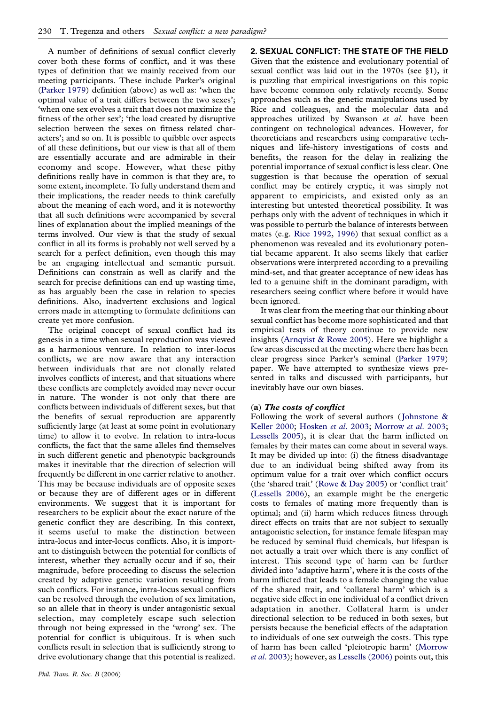A number of definitions of sexual conflict cleverly cover both these forms of conflict, and it was these types of definition that we mainly received from our meeting participants. These include Parker's original [\(Parker 1979\)](#page-5-0) definition (above) as well as: 'when the optimal value of a trait differs between the two sexes'; 'when one sex evolves a trait that does not maximize the fitness of the other sex'; 'the load created by disruptive selection between the sexes on fitness related characters'; and so on. It is possible to quibble over aspects of all these definitions, but our view is that all of them are essentially accurate and are admirable in their economy and scope. However, what these pithy definitions really have in common is that they are, to some extent, incomplete. To fully understand them and their implications, the reader needs to think carefully about the meaning of each word, and it is noteworthy that all such definitions were accompanied by several lines of explanation about the implied meanings of the terms involved. Our view is that the study of sexual conflict in all its forms is probably not well served by a search for a perfect definition, even though this may be an engaging intellectual and semantic pursuit. Definitions can constrain as well as clarify and the search for precise definitions can end up wasting time, as has arguably been the case in relation to species definitions. Also, inadvertent exclusions and logical errors made in attempting to formulate definitions can create yet more confusion.

The original concept of sexual conflict had its genesis in a time when sexual reproduction was viewed as a harmonious venture. In relation to inter-locus conflicts, we are now aware that any interaction between individuals that are not clonally related involves conflicts of interest, and that situations where these conflicts are completely avoided may never occur in nature. The wonder is not only that there are conflicts between individuals of different sexes, but that the benefits of sexual reproduction are apparently sufficiently large (at least at some point in evolutionary time) to allow it to evolve. In relation to intra-locus conflicts, the fact that the same alleles find themselves in such different genetic and phenotypic backgrounds makes it inevitable that the direction of selection will frequently be different in one carrier relative to another. This may be because individuals are of opposite sexes or because they are of different ages or in different environments. We suggest that it is important for researchers to be explicit about the exact nature of the genetic conflict they are describing. In this context, it seems useful to make the distinction between intra-locus and inter-locus conflicts. Also, it is important to distinguish between the potential for conflicts of interest, whether they actually occur and if so, their magnitude, before proceeding to discuss the selection created by adaptive genetic variation resulting from such conflicts. For instance, intra-locus sexual conflicts can be resolved through the evolution of sex limitation, so an allele that in theory is under antagonistic sexual selection, may completely escape such selection through not being expressed in the 'wrong' sex. The potential for conflict is ubiquitous. It is when such conflicts result in selection that is sufficiently strong to drive evolutionary change that this potential is realized.

2. SEXUAL CONFLICT: THE STATE OF THE FIELD Given that the existence and evolutionary potential of sexual conflict was laid out in the 1970s (see *§*1), it is puzzling that empirical investigations on this topic have become common only relatively recently. Some approaches such as the genetic manipulations used by Rice and colleagues, and the molecular data and approaches utilized by Swanson et al. have been contingent on technological advances. However, for theoreticians and researchers using comparative techniques and life-history investigations of costs and benefits, the reason for the delay in realizing the potential importance of sexual conflict is less clear. One suggestion is that because the operation of sexual conflict may be entirely cryptic, it was simply not apparent to empiricists, and existed only as an interesting but untested theoretical possibility. It was perhaps only with the advent of techniques in which it was possible to perturb the balance of interests between mates (e.g. [Rice 1992,](#page-5-0) [1996](#page-5-0)) that sexual conflict as a phenomenon was revealed and its evolutionary potential became apparent. It also seems likely that earlier observations were interpreted according to a prevailing mind-set, and that greater acceptance of new ideas has led to a genuine shift in the dominant paradigm, with researchers seeing conflict where before it would have been ignored.

It was clear from the meeting that our thinking about sexual conflict has become more sophisticated and that empirical tests of theory continue to provide new insights [\(Arnqvist & Rowe 2005\)](#page-5-0). Here we highlight a few areas discussed at the meeting where there has been clear progress since Parker's seminal [\(Parker 1979\)](#page-5-0) paper. We have attempted to synthesize views presented in talks and discussed with participants, but inevitably have our own biases.

# (a) The costs of conflict

Following the work of several authors ([Johnstone &](#page-5-0) [Keller 2000](#page-5-0); [Hosken](#page-5-0) et al. 2003; [Morrow](#page-5-0) et al. 2003; [Lessells 2005](#page-5-0)), it is clear that the harm inflicted on females by their mates can come about in several ways. It may be divided up into: (i) the fitness disadvantage due to an individual being shifted away from its optimum value for a trait over which conflict occurs (the 'shared trait' [\(Rowe & Day 2005](#page-5-0)) or 'conflict trait' [\(Lessells 2006\)](#page-5-0), an example might be the energetic costs to females of mating more frequently than is optimal; and (ii) harm which reduces fitness through direct effects on traits that are not subject to sexually antagonistic selection, for instance female lifespan may be reduced by seminal fluid chemicals, but lifespan is not actually a trait over which there is any conflict of interest. This second type of harm can be further divided into 'adaptive harm', where it is the costs of the harm inflicted that leads to a female changing the value of the shared trait, and 'collateral harm' which is a negative side effect in one individual of a conflict driven adaptation in another. Collateral harm is under directional selection to be reduced in both sexes, but persists because the beneficial effects of the adaptation to individuals of one sex outweigh the costs. This type of harm has been called 'pleiotropic harm' ([Morrow](#page-5-0) et al[. 2003](#page-5-0)); however, as [Lessells \(2006\)](#page-5-0) points out, this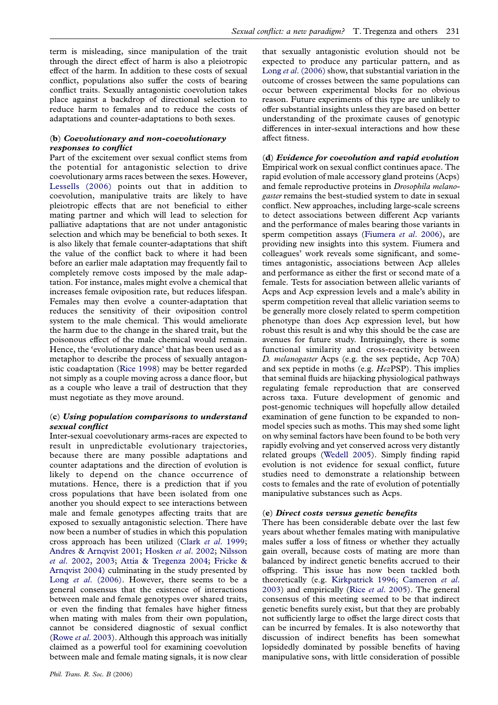term is misleading, since manipulation of the trait through the direct effect of harm is also a pleiotropic effect of the harm. In addition to these costs of sexual conflict, populations also suffer the costs of bearing conflict traits. Sexually antagonistic coevolution takes place against a backdrop of directional selection to reduce harm to females and to reduce the costs of adaptations and counter-adaptations to both sexes.

# (b) Coevolutionary and non-coevolutionary responses to conflict

Part of the excitement over sexual conflict stems from the potential for antagonistic selection to drive coevolutionary arms races between the sexes. However, [Lessells \(2006\)](#page-5-0) points out that in addition to coevolution, manipulative traits are likely to have pleiotropic effects that are not beneficial to either mating partner and which will lead to selection for palliative adaptations that are not under antagonistic selection and which may be beneficial to both sexes. It is also likely that female counter-adaptations that shift the value of the conflict back to where it had been before an earlier male adaptation may frequently fail to completely remove costs imposed by the male adaptation. For instance, males might evolve a chemical that increases female oviposition rate, but reduces lifespan. Females may then evolve a counter-adaptation that reduces the sensitivity of their oviposition control system to the male chemical. This would ameliorate the harm due to the change in the shared trait, but the poisonous effect of the male chemical would remain. Hence, the 'evolutionary dance' that has been used as a metaphor to describe the process of sexually antagonistic coadaptation ([Rice 1998](#page-5-0)) may be better regarded not simply as a couple moving across a dance floor, but as a couple who leave a trail of destruction that they must negotiate as they move around.

# (c) Using population comparisons to understand sexual conflict

Inter-sexual coevolutionary arms-races are expected to result in unpredictable evolutionary trajectories, because there are many possible adaptations and counter adaptations and the direction of evolution is likely to depend on the chance occurrence of mutations. Hence, there is a prediction that if you cross populations that have been isolated from one another you should expect to see interactions between male and female genotypes affecting traits that are exposed to sexually antagonistic selection. There have now been a number of studies in which this population cross approach has been utilized (Clark et al[. 1999](#page-5-0); [Andres & Arnqvist 2001](#page-4-0); [Hosken](#page-5-0) et al. 2002; [Nilsson](#page-5-0) et al[. 2002,](#page-5-0) [2003;](#page-5-0) [Attia & Tregenza 2004](#page-5-0); [Fricke &](#page-5-0) [Arnqvist 2004\)](#page-5-0) culminating in the study presented by Long et al[. \(2006\).](#page-5-0) However, there seems to be a general consensus that the existence of interactions between male and female genotypes over shared traits, or even the finding that females have higher fitness when mating with males from their own population, cannot be considered diagnostic of sexual conflict (Rowe et al[. 2003](#page-5-0)). Although this approach was initially claimed as a powerful tool for examining coevolution between male and female mating signals, it is now clear

that sexually antagonistic evolution should not be expected to produce any particular pattern, and as Long et al[. \(2006\)](#page-5-0) show, that substantial variation in the outcome of crosses between the same populations can occur between experimental blocks for no obvious reason. Future experiments of this type are unlikely to offer substantial insights unless they are based on better understanding of the proximate causes of genotypic differences in inter-sexual interactions and how these affect fitness.

(d) Evidence for coevolution and rapid evolution Empirical work on sexual conflict continues apace. The rapid evolution of male accessory gland proteins (Acps) and female reproductive proteins in Drosophila melanogaster remains the best-studied system to date in sexual conflict. New approaches, including large-scale screens to detect associations between different Acp variants and the performance of males bearing those variants in sperm competition assays ([Fiumera](#page-5-0) et al. 2006), are providing new insights into this system. Fiumera and colleagues' work reveals some significant, and sometimes antagonistic, associations between Acp alleles and performance as either the first or second mate of a female. Tests for association between allelic variants of Acps and Acp expression levels and a male's ability in sperm competition reveal that allelic variation seems to be generally more closely related to sperm competition phenotype than does Acp expression level, but how robust this result is and why this should be the case are avenues for future study. Intriguingly, there is some functional similarity and cross-reactivity between D. melanogaster Acps (e.g. the sex peptide, Acp 70A) and sex peptide in moths (e.g. HezPSP). This implies that seminal fluids are hijacking physiological pathways regulating female reproduction that are conserved across taxa. Future development of genomic and post-genomic techniques will hopefully allow detailed examination of gene function to be expanded to nonmodel species such as moths. This may shed some light on why seminal factors have been found to be both very rapidly evolving and yet conserved across very distantly related groups ([Wedell 2005](#page-5-0)). Simply finding rapid evolution is not evidence for sexual conflict, future studies need to demonstrate a relationship between costs to females and the rate of evolution of potentially manipulative substances such as Acps.

## (e) Direct costs versus genetic benefits

There has been considerable debate over the last few years about whether females mating with manipulative males suffer a loss of fitness or whether they actually gain overall, because costs of mating are more than balanced by indirect genetic benefits accrued to their offspring. This issue has now been tackled both theoretically (e.g. [Kirkpatrick 1996;](#page-5-0) [Cameron](#page-5-0) et al. [2003](#page-5-0)) and empirically (Rice et al[. 2005\)](#page-5-0). The general consensus of this meeting seemed to be that indirect genetic benefits surely exist, but that they are probably not sufficiently large to offset the large direct costs that can be incurred by females. It is also noteworthy that discussion of indirect benefits has been somewhat lopsidedly dominated by possible benefits of having manipulative sons, with little consideration of possible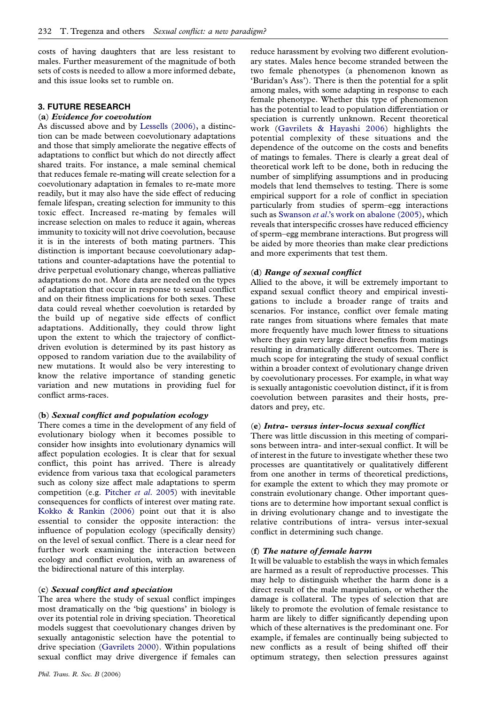costs of having daughters that are less resistant to males. Further measurement of the magnitude of both sets of costs is needed to allow a more informed debate, and this issue looks set to rumble on.

# 3. FUTURE RESEARCH

### (a) Evidence for coevolution

As discussed above and by [Lessells \(2006\)](#page-5-0), a distinction can be made between coevolutionary adaptations and those that simply ameliorate the negative effects of adaptations to conflict but which do not directly affect shared traits. For instance, a male seminal chemical that reduces female re-mating will create selection for a coevolutionary adaptation in females to re-mate more readily, but it may also have the side effect of reducing female lifespan, creating selection for immunity to this toxic effect. Increased re-mating by females will increase selection on males to reduce it again, whereas immunity to toxicity will not drive coevolution, because it is in the interests of both mating partners. This distinction is important because coevolutionary adaptations and counter-adaptations have the potential to drive perpetual evolutionary change, whereas palliative adaptations do not. More data are needed on the types of adaptation that occur in response to sexual conflict and on their fitness implications for both sexes. These data could reveal whether coevolution is retarded by the build up of negative side effects of conflict adaptations. Additionally, they could throw light upon the extent to which the trajectory of conflictdriven evolution is determined by its past history as opposed to random variation due to the availability of new mutations. It would also be very interesting to know the relative importance of standing genetic variation and new mutations in providing fuel for conflict arms-races.

## (b) Sexual conflict and population ecology

There comes a time in the development of any field of evolutionary biology when it becomes possible to consider how insights into evolutionary dynamics will affect population ecologies. It is clear that for sexual conflict, this point has arrived. There is already evidence from various taxa that ecological parameters such as colony size affect male adaptations to sperm competition (e.g. [Pitcher](#page-5-0) et al. 2005) with inevitable consequences for conflicts of interest over mating rate. [Kokko & Rankin \(2006\)](#page-5-0) point out that it is also essential to consider the opposite interaction: the influence of population ecology (specifically density) on the level of sexual conflict. There is a clear need for further work examining the interaction between ecology and conflict evolution, with an awareness of the bidirectional nature of this interplay.

#### (c) Sexual conflict and speciation

The area where the study of sexual conflict impinges most dramatically on the 'big questions' in biology is over its potential role in driving speciation. Theoretical models suggest that coevolutionary changes driven by sexually antagonistic selection have the potential to drive speciation ([Gavrilets 2000](#page-5-0)). Within populations sexual conflict may drive divergence if females can reduce harassment by evolving two different evolutionary states. Males hence become stranded between the two female phenotypes (a phenomenon known as 'Buridan's Ass'). There is then the potential for a split among males, with some adapting in response to each female phenotype. Whether this type of phenomenon has the potential to lead to population differentiation or speciation is currently unknown. Recent theoretical work [\(Gavrilets & Hayashi 2006\)](#page-5-0) highlights the potential complexity of these situations and the dependence of the outcome on the costs and benefits of matings to females. There is clearly a great deal of theoretical work left to be done, both in reducing the number of simplifying assumptions and in producing models that lend themselves to testing. There is some empirical support for a role of conflict in speciation particularly from studies of sperm–egg interactions such as Swanson et al[.'s work on abalone \(2005\)](#page-5-0), which reveals that interspecific crosses have reduced efficiency of sperm–egg membrane interactions. But progress will be aided by more theories than make clear predictions and more experiments that test them.

#### (d) Range of sexual conflict

Allied to the above, it will be extremely important to expand sexual conflict theory and empirical investigations to include a broader range of traits and scenarios. For instance, conflict over female mating rate ranges from situations where females that mate more frequently have much lower fitness to situations where they gain very large direct benefits from matings resulting in dramatically different outcomes. There is much scope for integrating the study of sexual conflict within a broader context of evolutionary change driven by coevolutionary processes. For example, in what way is sexually antagonistic coevolution distinct, if it is from coevolution between parasites and their hosts, predators and prey, etc.

#### (e) Intra- versus inter-locus sexual conflict

There was little discussion in this meeting of comparisons between intra- and inter-sexual conflict. It will be of interest in the future to investigate whether these two processes are quantitatively or qualitatively different from one another in terms of theoretical predictions, for example the extent to which they may promote or constrain evolutionary change. Other important questions are to determine how important sexual conflict is in driving evolutionary change and to investigate the relative contributions of intra- versus inter-sexual conflict in determining such change.

#### (f) The nature of female harm

It will be valuable to establish the ways in which females are harmed as a result of reproductive processes. This may help to distinguish whether the harm done is a direct result of the male manipulation, or whether the damage is collateral. The types of selection that are likely to promote the evolution of female resistance to harm are likely to differ significantly depending upon which of these alternatives is the predominant one. For example, if females are continually being subjected to new conflicts as a result of being shifted off their optimum strategy, then selection pressures against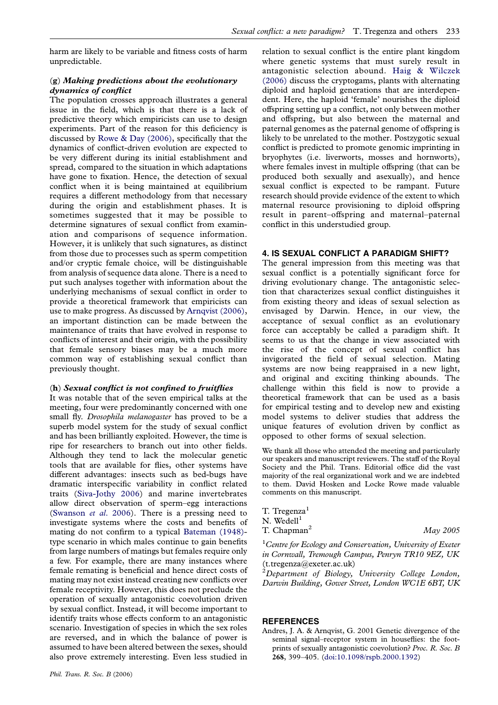<span id="page-4-0"></span>harm are likely to be variable and fitness costs of harm unpredictable.

# (g) Making predictions about the evolutionary dynamics of conflict

The population crosses approach illustrates a general issue in the field, which is that there is a lack of predictive theory which empiricists can use to design experiments. Part of the reason for this deficiency is discussed by [Rowe & Day \(2006\),](#page-5-0) specifically that the dynamics of conflict-driven evolution are expected to be very different during its initial establishment and spread, compared to the situation in which adaptations have gone to fixation. Hence, the detection of sexual conflict when it is being maintained at equilibrium requires a different methodology from that necessary during the origin and establishment phases. It is sometimes suggested that it may be possible to determine signatures of sexual conflict from examination and comparisons of sequence information. However, it is unlikely that such signatures, as distinct from those due to processes such as sperm competition and/or cryptic female choice, will be distinguishable from analysis of sequence data alone. There is a need to put such analyses together with information about the underlying mechanisms of sexual conflict in order to provide a theoretical framework that empiricists can use to make progress. As discussed by [Arnqvist \(2006\)](#page-5-0), an important distinction can be made between the maintenance of traits that have evolved in response to conflicts of interest and their origin, with the possibility that female sensory biases may be a much more common way of establishing sexual conflict than previously thought.

## (h) Sexual conflict is not confined to fruitflies

It was notable that of the seven empirical talks at the meeting, four were predominantly concerned with one small fly. Drosophila melanogaster has proved to be a superb model system for the study of sexual conflict and has been brilliantly exploited. However, the time is ripe for researchers to branch out into other fields. Although they tend to lack the molecular genetic tools that are available for flies, other systems have different advantages: insects such as bed-bugs have dramatic interspecific variability in conflict related traits [\(Siva-Jothy 2006\)](#page-5-0) and marine invertebrates allow direct observation of sperm–egg interactions [\(Swanson](#page-5-0) et al. 2006). There is a pressing need to investigate systems where the costs and benefits of mating do not confirm to a typical [Bateman \(1948\)](#page-5-0) type scenario in which males continue to gain benefits from large numbers of matings but females require only a few. For example, there are many instances where female remating is beneficial and hence direct costs of mating may not exist instead creating new conflicts over female receptivity. However, this does not preclude the operation of sexually antagonistic coevolution driven by sexual conflict. Instead, it will become important to identify traits whose effects conform to an antagonistic scenario. Investigation of species in which the sex roles are reversed, and in which the balance of power is assumed to have been altered between the sexes, should also prove extremely interesting. Even less studied in

relation to sexual conflict is the entire plant kingdom where genetic systems that must surely result in antagonistic selection abound. [Haig & Wilczek](#page-5-0) [\(2006\)](#page-5-0) discuss the cryptogams, plants with alternating diploid and haploid generations that are interdependent. Here, the haploid 'female' nourishes the diploid offspring setting up a conflict, not only between mother and offspring, but also between the maternal and paternal genomes as the paternal genome of offspring is likely to be unrelated to the mother. Postzygotic sexual conflict is predicted to promote genomic imprinting in bryophytes (i.e. liverworts, mosses and hornworts), where females invest in multiple offspring (that can be produced both sexually and asexually), and hence sexual conflict is expected to be rampant. Future research should provide evidence of the extent to which maternal resource provisioning to diploid offspring result in parent–offspring and maternal–paternal conflict in this understudied group.

## 4. IS SEXUAL CONFLICT A PARADIGM SHIFT?

The general impression from this meeting was that sexual conflict is a potentially significant force for driving evolutionary change. The antagonistic selection that characterizes sexual conflict distinguishes it from existing theory and ideas of sexual selection as envisaged by Darwin. Hence, in our view, the acceptance of sexual conflict as an evolutionary force can acceptably be called a paradigm shift. It seems to us that the change in view associated with the rise of the concept of sexual conflict has invigorated the field of sexual selection. Mating systems are now being reappraised in a new light, and original and exciting thinking abounds. The challenge within this field is now to provide a theoretical framework that can be used as a basis for empirical testing and to develop new and existing model systems to deliver studies that address the unique features of evolution driven by conflict as opposed to other forms of sexual selection.

We thank all those who attended the meeting and particularly our speakers and manuscript reviewers. The staff of the Royal Society and the Phil. Trans. Editorial office did the vast majority of the real organizational work and we are indebted to them. David Hosken and Locke Rowe made valuable comments on this manuscript.

T. Tregenza<sup>1</sup>

 $N.$  Wedell<sup>1</sup>

T. Chapman<sup>2</sup>  $May\ 2005$ 

 ${}^{1}$ Centre for Ecology and Conservation, University of Exeter in Cornwall, Tremough Campus, Penryn TR10 9EZ, UK (t.tregenza@exeter.ac.uk)

 $^{2}$ Department of Biology, University College London, Darwin Building, Gower Street, London WC1E 6BT, UK

#### **REFERENCES**

Andres, J. A. & Arnqvist, G. 2001 Genetic divergence of the seminal signal–receptor system in houseflies: the footprints of sexually antagonistic coevolution? Proc. R. Soc. B 268, 399–405. ([doi:10.1098/rspb.2000.1392](http://dx.doi.org/doi:10.1098/rspb.2000.1392))